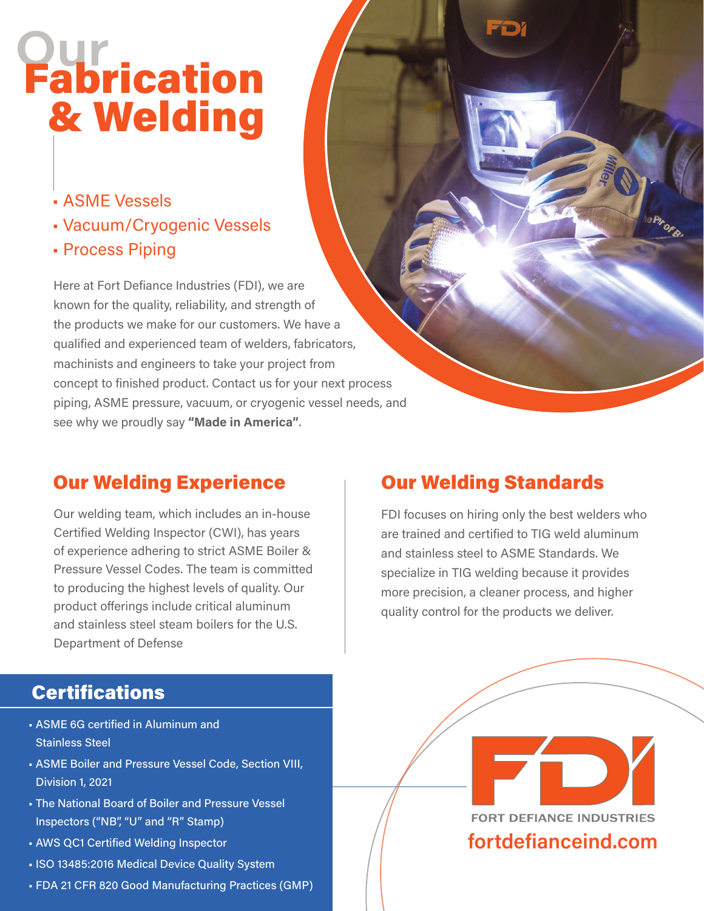## Our Fabrication & Welding

- ASME Vessels
- Vacuum/Cryogenic Vessels
- Process Piping

Here at Fort Defiance Industries (FDI), we are known for the quality, reliability, and strength of the products we make for our customers. We have a qualified and experienced team of welders, fabricators, machinists and engineers to take your project from concept to finished product. Contact us for your next process piping, ASME pressure, vacuum, or cryogenic vessel needs, and see why we proudly say "Made in America".

### Our Welding Experience **Our Welding Standards**

Our welding team, which includes an in-house Certified Welding Inspector (CWI), has years of experience adhering to strict ASME Boiler & Pressure Vessel Codes. The team is committed to producing the highest levels of quality. Our product offerings include critical aluminum and stainless steel steam boilers for the U.S. Department of Defense

FD

FDI focuses on hiring only the best welders who are trained and certified to TIG weld aluminum and stainless steel to ASME Standards. We specialize in TIG welding because it provides more precision, a cleaner process, and higher quality control for the products we deliver.

#### **Certifications**

- ASME 6G certified in Aluminum and Stainless Steel
- ASME Boiler and Pressure Vessel Code, Section VIII, Division 1, 2021
- The National Board of Boiler and Pressure Vessel Inspectors ("NB", "U" and "R" Stamp)
- AWS QC1 Certified Welding Inspector
- ISO 13485:2016 Medical Device Quality System
- FDA 21 CFR 820 Good Manufacturing Practices (GMP)